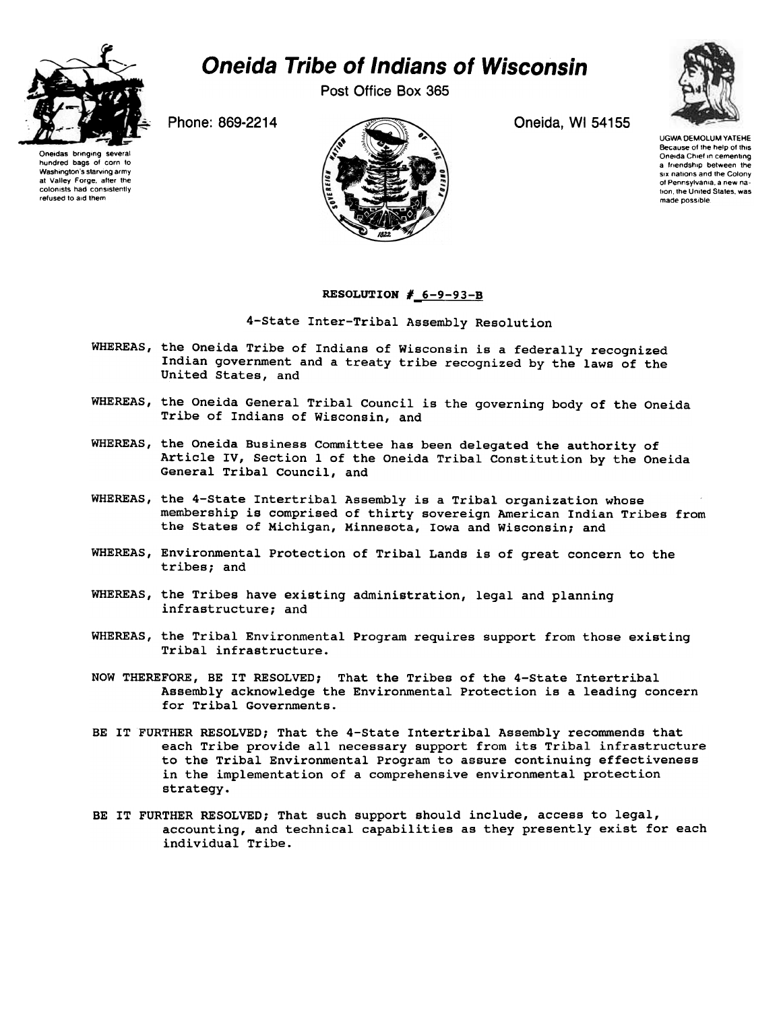

## Oneida Tribe of Indians of Wisconsin

Post Office Box 365





UGWA DEMOLUM YATEHE Because of the help of this Oneida Chief in cementing a friendship between the six nations and the Colony of Pennsylvania, a new nation, the United States, was made possible.

## RESOLUTION  $#_6-9-93-$ B

4-State Inter-Tribal Assembly Resolution

- WHEREAS, the Oneida Tribe of Indians of Wisconsin is a federally recognized Indian government and a treaty tribe recognized by the laws of the United States, and
- WHEREAS, the Oneida General Tribal Council is the governing body of the Oneida Tribe of Indians of Wisconsin, and
- WHEREAS, the Oneida Business Committee has been delegated the authority of Article IV, Section 1 of the Oneida Tribal Constitution by the Oneida General Tribal Council, and
- WHEREAS, the 4-State Intertribal Assembly is a Tribal organization whose membership is comprised of thirty sovereign American Indian Tribes from the States of Michigan, Minnesota, Iowa and Wisconsin; and
- WHEREAS, Environmental Protection of Tribal Lands is of great concern to the tribes; and
- WHEREAS, the Tribes have existing administration, legal and planning infrastructure; and
- WHEREAS, the Tribal Environmental Program requires support from those existing Tribal infrastructure.
- NOW THEREFORE, BE IT RESOLVED; That the Tribes of the 4-State Intertribal Assembly acknowledge the Environmental Protection is a leading concern for Tribal Governments.
- BE IT FURTHER RESOLVED; That the 4-State Intertribal Assembly recommends that each Tribe provide all necessary support from its Tribal infrastructure to the Tribal Environmental Program to assure continuing effectiveness in the implementation of a comprehensive environmental protection strategy.
- BE IT FURTHER RESOLVED; That such support should include, access to legal, accounting, and technical capabilities as they presently exist for each individual Tribe.